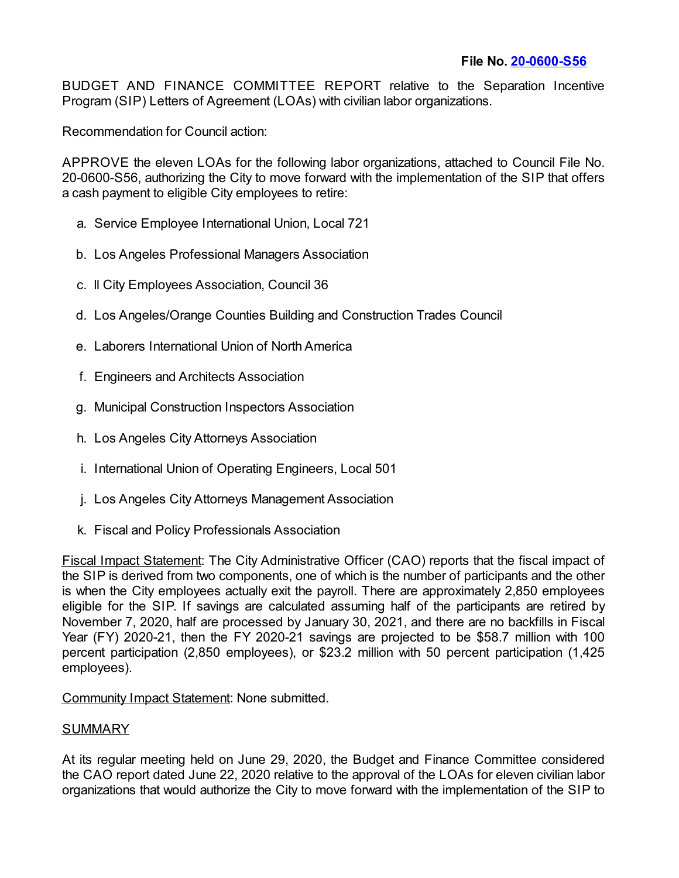BUDGET AND FINANCE COMMITTEE REPORT relative to the Separation Incentive Program (SIP) Letters of Agreement (LOAs) with civilian labor organizations.

Recommendation for Council action:

APPROVE the eleven LOAs for the following labor organizations, attached to Council File No. 20-0600-S56, authorizing the City to move forward with the implementation of the SIP that offers a cash payment to eligible City employees to retire:

- a. Service Employee International Union, Local 721
- b. Los Angeles Professional Managers Association
- c. ll City Employees Association, Council 36
- d. Los Angeles/Orange Counties Building and Construction Trades Council
- e. Laborers International Union of North America
- f. Engineers and Architects Association
- g. Municipal Construction Inspectors Association
- h. Los Angeles City Attorneys Association
- i. International Union of Operating Engineers, Local 501
- j. Los Angeles City Attorneys Management Association
- k. Fiscal and Policy Professionals Association

Fiscal Impact Statement: The City Administrative Officer (CAO) reports that the fiscal impact of the SIP is derived from two components, one of which is the number of participants and the other is when the City employees actually exit the payroll. There are approximately 2,850 employees eligible for the SIP. If savings are calculated assuming half of the participants are retired by November 7, 2020, half are processed by January 30, 2021, and there are no backfills in Fiscal Year (FY) 2020-21, then the FY 2020-21 savings are projected to be \$58.7 million with 100 percent participation (2,850 employees), or \$23.2 million with 50 percent participation (1,425 employees).

Community Impact Statement: None submitted.

## SUMMARY

At its regular meeting held on June 29, 2020, the Budget and Finance Committee considered the CAO report dated June 22, 2020 relative to the approval of the LOAs for eleven civilian labor organizations that would authorize the City to move forward with the implementation of the SIP to